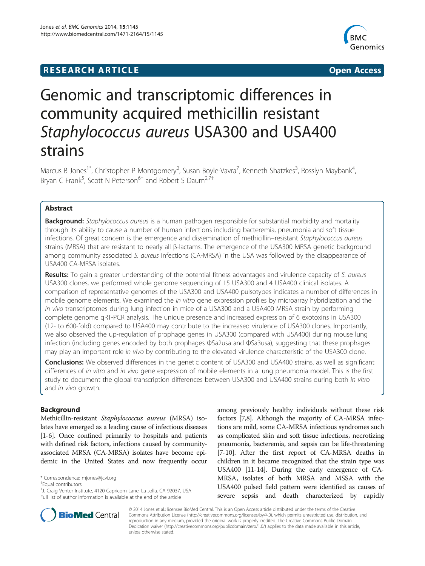## **RESEARCH ARTICLE Example 2014 12:30 The SEAR CH ACCESS**



# Genomic and transcriptomic differences in community acquired methicillin resistant Staphylococcus aureus USA300 and USA400 strains

Marcus B Jones<sup>1\*</sup>, Christopher P Montgomery<sup>2</sup>, Susan Boyle-Vavra<sup>7</sup>, Kenneth Shatzkes<sup>3</sup>, Rosslyn Maybank<sup>4</sup> , Bryan C Frank<sup>5</sup>, Scott N Peterson<sup>6†</sup> and Robert S Daum<sup>2,7†</sup>

## Abstract

Background: Staphylococcus aureus is a human pathogen responsible for substantial morbidity and mortality through its ability to cause a number of human infections including bacteremia, pneumonia and soft tissue infections. Of great concern is the emergence and dissemination of methicillin–resistant Staphylococcus aureus strains (MRSA) that are resistant to nearly all β-lactams. The emergence of the USA300 MRSA genetic background among community associated S. aureus infections (CA-MRSA) in the USA was followed by the disappearance of USA400 CA-MRSA isolates.

Results: To gain a greater understanding of the potential fitness advantages and virulence capacity of S. aureus USA300 clones, we performed whole genome sequencing of 15 USA300 and 4 USA400 clinical isolates. A comparison of representative genomes of the USA300 and USA400 pulsotypes indicates a number of differences in mobile genome elements. We examined the in vitro gene expression profiles by microarray hybridization and the in vivo transcriptomes during lung infection in mice of a USA300 and a USA400 MRSA strain by performing complete genome qRT-PCR analysis. The unique presence and increased expression of 6 exotoxins in USA300 (12- to 600-fold) compared to USA400 may contribute to the increased virulence of USA300 clones. Importantly, we also observed the up-regulation of prophage genes in USA300 (compared with USA400) during mouse lung infection (including genes encoded by both prophages ΦSa2usa and ΦSa3usa), suggesting that these prophages may play an important role in vivo by contributing to the elevated virulence characteristic of the USA300 clone.

**Conclusions:** We observed differences in the genetic content of USA300 and USA400 strains, as well as significant differences of in vitro and in vivo gene expression of mobile elements in a lung pneumonia model. This is the first study to document the global transcription differences between USA300 and USA400 strains during both in vitro and in vivo growth.

## Background

Methicillin-resistant Staphylococcus aureus (MRSA) isolates have emerged as a leading cause of infectious diseases [[1-6\]](#page-8-0). Once confined primarily to hospitals and patients with defined risk factors, infections caused by communityassociated MRSA (CA-MRSA) isolates have become epidemic in the United States and now frequently occur

Equal contributors

<sup>&</sup>lt;sup>1</sup>J. Craig Venter Institute, 4120 Capricorn Lane, La Jolla, CA 92037, USA Full list of author information is available at the end of the article





© 2014 Jones et al.; licensee BioMed Central. This is an Open Access article distributed under the terms of the Creative Commons Attribution License [\(http://creativecommons.org/licenses/by/4.0\)](http://creativecommons.org/licenses/by/4.0), which permits unrestricted use, distribution, and reproduction in any medium, provided the original work is properly credited. The Creative Commons Public Domain Dedication waiver [\(http://creativecommons.org/publicdomain/zero/1.0/](http://creativecommons.org/publicdomain/zero/1.0/)) applies to the data made available in this article, unless otherwise stated.

<sup>\*</sup> Correspondence: [mjones@jcvi.org](mailto:mjones@jcvi.org) †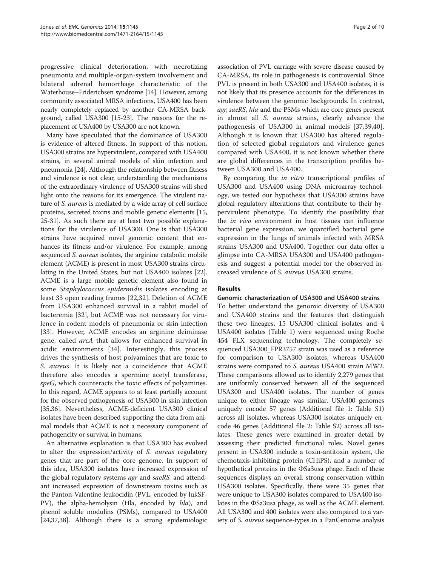progressive clinical deterioration, with necrotizing pneumonia and multiple-organ-system involvement and bilateral adrenal hemorrhage characteristic of the Waterhouse–Friderichsen syndrome [[14](#page-8-0)]. However, among community associated MRSA infections, USA400 has been nearly completely replaced by another CA-MRSA background, called USA300 [[15](#page-8-0)-[23](#page-8-0)]. The reasons for the replacement of USA400 by USA300 are not known.

Many have speculated that the dominance of USA300 is evidence of altered fitness. In support of this notion, USA300 strains are hypervirulent, compared with USA400 strains, in several animal models of skin infection and pneumonia [\[24](#page-8-0)]. Although the relationship between fitness and virulence is not clear, understanding the mechanisms of the extraordinary virulence of USA300 strains will shed light onto the reasons for its emergence. The virulent nature of S. aureus is mediated by a wide array of cell surface proteins, secreted toxins and mobile genetic elements [[15](#page-8-0), [25](#page-8-0)-[31](#page-8-0)]. As such there are at least two possible explanations for the virulence of USA300. One is that USA300 strains have acquired novel genomic content that enhances its fitness and/or virulence. For example, among sequenced *S. aureus* isolates, the arginine catabolic mobile element (ACME) is present in most USA300 strains circulating in the United States, but not USA400 isolates [[22](#page-8-0)]. ACME is a large mobile genetic element also found in some Staphylococcus epidermidis isolates encoding at least 33 open reading frames [\[22](#page-8-0),[32\]](#page-8-0). Deletion of ACME from USA300 enhanced survival in a rabbit model of bacteremia [[32\]](#page-8-0), but ACME was not necessary for virulence in rodent models of pneumonia or skin infection [[33\]](#page-8-0). However, ACME encodes an arginine deiminase gene, called arcA that allows for enhanced survival in acidic environments [[34\]](#page-8-0). Interestingly, this process drives the synthesis of host polyamines that are toxic to S. aureus. It is likely not a coincidence that ACME therefore also encodes a spermine acetyl transferase, speG, which counteracts the toxic effects of polyamines. In this regard, ACME appears to at least partially account for the observed pathogenesis of USA300 in skin infection [[35,36](#page-8-0)]. Nevertheless, ACME-deficient USA300 clinical isolates have been described supporting the data from animal models that ACME is not a necessary component of pathogencity or survival in humans.

An alternative explanation is that USA300 has evolved to alter the expression/activity of S. aureus regulatory genes that are part of the core genome. In support of this idea, USA300 isolates have increased expression of the global regulatory systems agr and saeRS, and attendant increased expression of downstream toxins such as the Panton-Valentine leukocidin (PVL, encoded by lukSF-PV), the alpha-hemolysin (Hla, encoded by *hla*), and phenol soluble modulins (PSMs), compared to USA400 [[24,37,38\]](#page-8-0). Although there is a strong epidemiologic

association of PVL carriage with severe disease caused by CA-MRSA, its role in pathogenesis is controversial. Since PVL is present in both USA300 and USA400 isolates, it is not likely that its presence accounts for the differences in virulence between the genomic backgrounds. In contrast, agr, saeRS, hla and the PSMs which are core genes present in almost all S. aureus strains, clearly advance the pathogenesis of USA300 in animal models [[37,39,40](#page-8-0)]. Although it is known that USA300 has altered regulation of selected global regulators and virulence genes compared with USA400, it is not known whether there are global differences in the transcription profiles between USA300 and USA400.

By comparing the *in vitro* transcriptional profiles of USA300 and USA400 using DNA microarray technology, we tested our hypothesis that USA300 strains have global regulatory alterations that contribute to their hypervirulent phenotype. To identify the possibility that the in vivo environment in host tissues can influence bacterial gene expression, we quantified bacterial gene expression in the lungs of animals infected with MRSA strains USA300 and USA400. Together our data offer a glimpse into CA-MRSA USA300 and USA400 pathogenesis and suggest a potential model for the observed increased virulence of S. aureus USA300 strains.

## Results

## Genomic characterization of USA300 and USA400 strains

To better understand the genomic diversity of USA300 and USA400 strains and the features that distinguish these two lineages, 15 USA300 clinical isolates and 4 USA400 isolates (Table [1\)](#page-2-0) were sequenced using Roche 454 FLX sequencing technology. The completely sequenced USA300\_FPR3757 strain was used as a reference for comparison to USA300 isolates, whereas USA400 strains were compared to S. aureus USA400 strain MW2. These comparisons allowed us to identify 2,279 genes that are uniformly conserved between all of the sequenced USA300 and USA400 isolates. The number of genes unique to either lineage was similar. USA400 genomes uniquely encode 57 genes (Additional file [1:](#page-7-0) Table S1) across all isolates, whereas USA300 isolates uniquely encode 46 genes (Additional file [2:](#page-7-0) Table S2) across all isolates. These genes were examined in greater detail by assessing their predicted functional roles. Novel genes present in USA300 include a toxin-antitoxin system, the chemotaxis-inhibiting protein (CHiPS), and a number of hypothetical proteins in the ΦSa3usa phage. Each of these sequences displays an overall strong conservation within USA300 isolates. Specifically, there were 35 genes that were unique to USA300 isolates compared to USA400 isolates in the ΦSa3usa phage, as well as the ACME element. All USA300 and 400 isolates were also compared to a variety of S. aureus sequence-types in a PanGenome analysis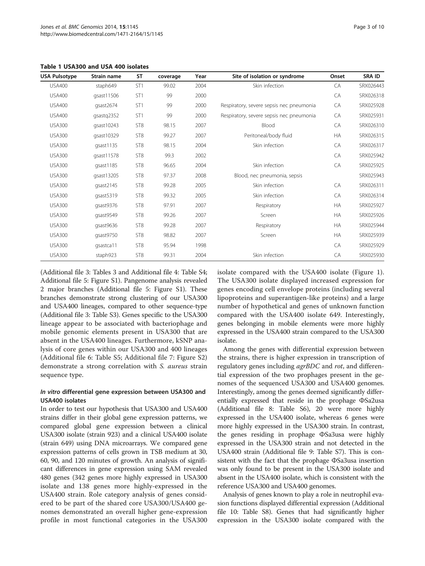| <b>USA Pulsotype</b> | Strain name | <b>ST</b>       | coverage | Year | Site of isolation or syndrome            | Onset     | SRA ID    |
|----------------------|-------------|-----------------|----------|------|------------------------------------------|-----------|-----------|
| <b>USA400</b>        | staph649    | ST <sub>1</sub> | 99.02    | 2004 | Skin infection                           | CA        | SRX026443 |
| <b>USA400</b>        | qsast11506  | ST <sub>1</sub> | 99       | 2000 |                                          | CA        | SRX026318 |
| <b>USA400</b>        | qsast2674   | ST <sub>1</sub> | 99       | 2000 | Respiratory, severe sepsis nec pneumonia | CA        | SRX025928 |
| <b>USA400</b>        | qsastq2352  | ST <sub>1</sub> | 99       | 2000 | Respiratory, severe sepsis nec pneumonia | CA        | SRX025931 |
| <b>USA300</b>        | qsast10243  | ST <sub>8</sub> | 98.15    | 2007 | Blood                                    | CA        | SRX026310 |
| <b>USA300</b>        | qsast10329  | ST <sub>8</sub> | 99.27    | 2007 | Peritoneal/body fluid                    | <b>HA</b> | SRX026315 |
| <b>USA300</b>        | qsast1135   | ST <sub>8</sub> | 98.15    | 2004 | Skin infection                           | CA        | SRX026317 |
| <b>USA300</b>        | gsast11578  | ST <sub>8</sub> | 99.3     | 2002 |                                          | CA        | SRX025942 |
| <b>USA300</b>        | qsast1185   | ST <sub>8</sub> | 96.65    | 2004 | Skin infection                           | CA        | SRX025925 |
| <b>USA300</b>        | qsast13205  | ST <sub>8</sub> | 97.37    | 2008 | Blood, nec pneumonia, sepsis             |           | SRX025943 |
| <b>USA300</b>        | qsast2145   | ST <sub>8</sub> | 99.28    | 2005 | Skin infection                           | CA        | SRX026311 |
| <b>USA300</b>        | qsast5319   | ST <sub>8</sub> | 99.32    | 2005 | Skin infection                           | CA        | SRX026314 |
| <b>USA300</b>        | qsast9376   | ST <sub>8</sub> | 97.91    | 2007 | Respiratory                              | <b>HA</b> | SRX025927 |
| <b>USA300</b>        | qsast9549   | ST <sub>8</sub> | 99.26    | 2007 | Screen                                   | <b>HA</b> | SRX025926 |
| <b>USA300</b>        | qsast9636   | ST <sub>8</sub> | 99.28    | 2007 | Respiratory                              | <b>HA</b> | SRX025944 |
| <b>USA300</b>        | qsast9750   | ST <sub>8</sub> | 98.82    | 2007 | Screen                                   | HA        | SRX025939 |
| <b>USA300</b>        | gsastca11   | ST <sub>8</sub> | 95.94    | 1998 |                                          | CA        | SRX025929 |
| <b>USA300</b>        | staph923    | ST <sub>8</sub> | 99.31    | 2004 | Skin infection                           | CA        | SRX025930 |

<span id="page-2-0"></span>Table 1 USA300 and USA 400 isolates

(Additional file [3:](#page-7-0) Tables 3 and Additional file [4](#page-7-0): Table S4; Additional file [5](#page-7-0): Figure S1). Pangenome analysis revealed 2 major branches (Additional file [5:](#page-7-0) Figure S1). These branches demonstrate strong clustering of our USA300 and USA400 lineages, compared to other sequence-type (Additional file [3](#page-7-0): Table S3). Genes specific to the USA300 lineage appear to be associated with bacteriophage and mobile genomic elements present in USA300 that are absent in the USA400 lineages. Furthermore, kSNP analysis of core genes within our USA300 and 400 lineages (Additional file [6](#page-7-0): Table S5; Additional file [7](#page-7-0): Figure S2) demonstrate a strong correlation with S. aureus strain sequence type.

## In vitro differential gene expression between USA300 and USA400 isolates

In order to test our hypothesis that USA300 and USA400 strains differ in their global gene expression patterns, we compared global gene expression between a clinical USA300 isolate (strain 923) and a clinical USA400 isolate (strain 649) using DNA microarrays. We compared gene expression patterns of cells grown in TSB medium at 30, 60, 90, and 120 minutes of growth. An analysis of significant differences in gene expression using SAM revealed 480 genes (342 genes more highly expressed in USA300 isolate and 138 genes more highly-expressed in the USA400 strain. Role category analysis of genes considered to be part of the shared core USA300/USA400 genomes demonstrated an overall higher gene-expression profile in most functional categories in the USA300

isolate compared with the USA400 isolate (Figure [1](#page-3-0)). The USA300 isolate displayed increased expression for genes encoding cell envelope proteins (including several lipoproteins and superantigen-like proteins) and a large number of hypothetical and genes of unknown function compared with the USA400 isolate 649. Interestingly, genes belonging in mobile elements were more highly expressed in the USA400 strain compared to the USA300 isolate.

Among the genes with differential expression between the strains, there is higher expression in transcription of regulatory genes including agrBDC and rot, and differential expression of the two prophages present in the genomes of the sequenced USA300 and USA400 genomes. Interestingly, among the genes deemed significantly differentially expressed that reside in the prophage ΦSa2usa (Additional file [8:](#page-7-0) Table S6), 20 were more highly expressed in the USA400 isolate, whereas 6 genes were more highly expressed in the USA300 strain. In contrast, the genes residing in prophage ΦSa3usa were highly expressed in the USA300 strain and not detected in the USA400 strain (Additional file [9](#page-7-0): Table S7). This is consistent with the fact that the prophage ΦSa3usa insertion was only found to be present in the USA300 isolate and absent in the USA400 isolate, which is consistent with the reference USA300 and USA400 genomes.

Analysis of genes known to play a role in neutrophil evasion functions displayed differential expression (Additional file [10](#page-7-0): Table S8). Genes that had significantly higher expression in the USA300 isolate compared with the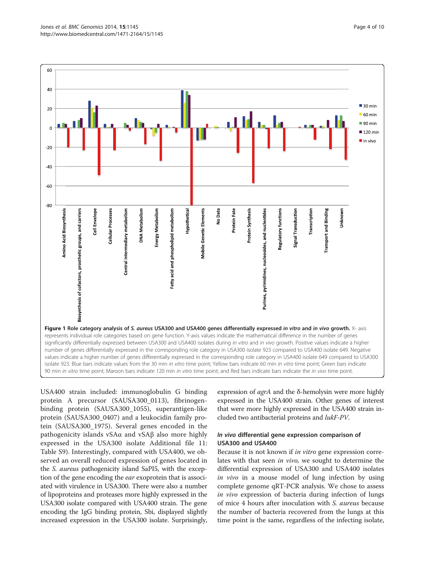<span id="page-3-0"></span>

USA400 strain included: immunoglobulin G binding protein A precursor (SAUSA300\_0113), fibrinogenbinding protein (SAUSA300\_1055), superantigen-like protein (SAUSA300\_0407) and a leukocidin family protein (SAUSA300\_1975). Several genes encoded in the pathogenicity islands vSAα and vSAβ also more highly expressed in the USA300 isolate Additional file [11](#page-7-0): Table S9). Interestingly, compared with USA400, we observed an overall reduced expression of genes located in the S. aureus pathogenicity island SaPI5, with the exception of the gene encoding the ear exoprotein that is associated with virulence in USA300. There were also a number of lipoproteins and proteases more highly expressed in the USA300 isolate compared with USA400 strain. The gene encoding the IgG binding protein, Sbi, displayed slightly increased expression in the USA300 isolate. Surprisingly,

expression of agrA and the δ-hemolysin were more highly expressed in the USA400 strain. Other genes of interest that were more highly expressed in the USA400 strain included two antibacterial proteins and lukF-PV.

## In vivo differential gene expression comparison of USA300 and USA400

Because it is not known if in vitro gene expression correlates with that seen in vivo, we sought to determine the differential expression of USA300 and USA400 isolates in vivo in a mouse model of lung infection by using complete genome qRT-PCR analysis. We chose to assess in vivo expression of bacteria during infection of lungs of mice 4 hours after inoculation with S. aureus because the number of bacteria recovered from the lungs at this time point is the same, regardless of the infecting isolate,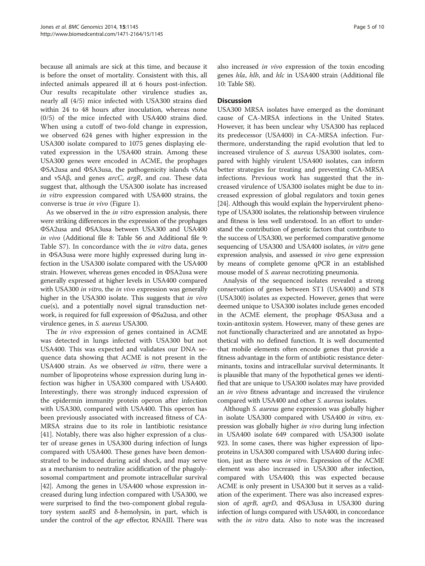because all animals are sick at this time, and because it is before the onset of mortality. Consistent with this, all infected animals appeared ill at 6 hours post-infection. Our results recapitulate other virulence studies as, nearly all (4/5) mice infected with USA300 strains died within 24 to 48 hours after inoculation, whereas none (0/5) of the mice infected with USA400 strains died. When using a cutoff of two-fold change in expression, we observed 624 genes with higher expression in the USA300 isolate compared to 1075 genes displaying elevated expression in the USA400 strain. Among these USA300 genes were encoded in ACME, the prophages ΦSA2usa and ΦSA3usa, the pathogenicity islands vSAα and vSAβ, and genes arcC, argR, and coa. These data suggest that, although the USA300 isolate has increased in vitro expression compared with USA400 strains, the converse is true in vivo (Figure [1](#page-3-0)).

As we observed in the in vitro expression analysis, there were striking differences in the expression of the prophages ΦSA2usa and ΦSA3usa between USA300 and USA400 in vivo (Additional file [8:](#page-7-0) Table S6 and Additional file [9](#page-7-0): Table S7). In concordance with the *in vitro* data, genes in ΦSA3usa were more highly expressed during lung infection in the USA300 isolate compared with the USA400 strain. However, whereas genes encoded in ΦSA2usa were generally expressed at higher levels in USA400 compared with USA300 in vitro, the in vivo expression was generally higher in the USA300 isolate. This suggests that in vivo cue(s), and a potentially novel signal transduction network, is required for full expression of ΦSa2usa, and other virulence genes, in S. aureus USA300.

The in vivo expression of genes contained in ACME was detected in lungs infected with USA300 but not USA400. This was expected and validates our DNA sequence data showing that ACME is not present in the USA400 strain. As we observed in vitro, there were a number of lipoproteins whose expression during lung infection was higher in USA300 compared with USA400. Interestingly, there was strongly induced expression of the epidermin immunity protein operon after infection with USA300, compared with USA400. This operon has been previously associated with increased fitness of CA-MRSA strains due to its role in lantibiotic resistance [[41\]](#page-9-0). Notably, there was also higher expression of a cluster of urease genes in USA300 during infection of lungs compared with USA400. These genes have been demonstrated to be induced during acid shock, and may serve as a mechanism to neutralize acidification of the phagolysosomal compartment and promote intracellular survival [[42](#page-9-0)]. Among the genes in USA400 whose expression increased during lung infection compared with USA300, we were surprised to find the two-component global regulatory system saeRS and δ-hemolysin, in part, which is under the control of the *agr* effector, RNAIII. There was also increased in vivo expression of the toxin encoding genes hla, hlb, and hlc in USA400 strain (Additional file [10](#page-7-0): Table S8).

#### **Discussion**

USA300 MRSA isolates have emerged as the dominant cause of CA-MRSA infections in the United States. However, it has been unclear why USA300 has replaced its predecessor (USA400) in CA-MRSA infection. Furthermore, understanding the rapid evolution that led to increased virulence of S. aureus USA300 isolates, compared with highly virulent USA400 isolates, can inform better strategies for treating and preventing CA-MRSA infections. Previous work has suggested that the increased virulence of USA300 isolates might be due to increased expression of global regulators and toxin genes [[24](#page-8-0)]. Although this would explain the hypervirulent phenotype of USA300 isolates, the relationship between virulence and fitness is less well understood. In an effort to understand the contribution of genetic factors that contribute to the success of USA300, we performed comparative genome sequencing of USA300 and USA400 isolates, *in vitro* gene expression analysis, and assessed in vivo gene expression by means of complete genome qPCR in an established mouse model of S. aureus necrotizing pneumonia.

Analysis of the sequenced isolates revealed a strong conservation of genes between ST1 (USA400) and ST8 (USA300) isolates as expected. However, genes that were deemed unique to USA300 isolates include genes encoded in the ACME element, the prophage ΦSA3usa and a toxin-antitoxin system. However, many of these genes are not functionally characterized and are annotated as hypothetical with no defined function. It is well documented that mobile elements often encode genes that provide a fitness advantage in the form of antibiotic resistance determinants, toxins and intracellular survival determinants. It is plausible that many of the hypothetical genes we identified that are unique to USA300 isolates may have provided an in vivo fitness advantage and increased the virulence compared with USA400 and other S. aureus isolates.

Although S. aureus gene expression was globally higher in isolate USA300 compared with USA400 in vitro, expression was globally higher in vivo during lung infection in USA400 isolate 649 compared with USA300 isolate 923. In some cases, there was higher expression of lipoproteins in USA300 compared with USA400 during infection, just as there was in vitro. Expression of the ACME element was also increased in USA300 after infection, compared with USA400; this was expected because ACME is only present in USA300 but it serves as a validation of the experiment. There was also increased expression of agrB, agrD, and ΦSA3usa in USA300 during infection of lungs compared with USA400, in concordance with the *in vitro* data. Also to note was the increased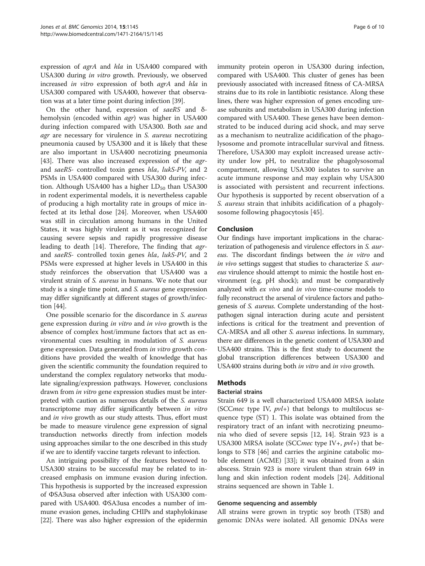expression of agrA and hla in USA400 compared with USA300 during in vitro growth. Previously, we observed increased in vitro expression of both agrA and hla in USA300 compared with USA400, however that observation was at a later time point during infection [\[39\]](#page-8-0).

On the other hand, expression of saeRS and δhemolysin (encoded within agr) was higher in USA400 during infection compared with USA300. Both sae and agr are necessary for virulence in S. aureus necrotizing pneumonia caused by USA300 and it is likely that these are also important in USA400 necrotizing pneumonia [[43\]](#page-9-0). There was also increased expression of the *agr*and saeRS- controlled toxin genes hla, lukS-PV, and 2 PSMs in USA400 compared with USA300 during infection. Although USA400 has a higher  $LD_{50}$  than USA300 in rodent experimental models, it is nevertheless capable of producing a high mortality rate in groups of mice infected at its lethal dose [[24\]](#page-8-0). Moreover, when USA400 was still in circulation among humans in the United States, it was highly virulent as it was recognized for causing severe sepsis and rapidly progressive disease leading to death [\[14](#page-8-0)]. Therefore, The finding that *agr*and saeRS- controlled toxin genes hla, lukS-PV, and 2 PSMs were expressed at higher levels in USA400 in this study reinforces the observation that USA400 was a virulent strain of S. aureus in humans. We note that our study is a single time point, and S. aureus gene expression may differ significantly at different stages of growth/infection [\[44\]](#page-9-0).

One possible scenario for the discordance in S. aureus gene expression during in vitro and in vivo growth is the absence of complex host/immune factors that act as environmental cues resulting in modulation of S. aureus gene expression. Data generated from in vitro growth conditions have provided the wealth of knowledge that has given the scientific community the foundation required to understand the complex regulatory networks that modulate signaling/expression pathways. However, conclusions drawn from *in vitro* gene expression studies must be interpreted with caution as numerous details of the *S. aureus* transcriptome may differ significantly between in vitro and *in vivo* growth as our study attests. Thus, effort must be made to measure virulence gene expression of signal transduction networks directly from infection models using approaches similar to the one described in this study if we are to identify vaccine targets relevant to infection.

An intriguing possibility of the features bestowed to USA300 strains to be successful may be related to increased emphasis on immune evasion during infection. This hypothesis is supported by the increased expression of ΦSA3usa observed after infection with USA300 compared with USA400. ΦSA3usa encodes a number of immune evasion genes, including CHIPs and staphylokinase [[22](#page-8-0)]. There was also higher expression of the epidermin immunity protein operon in USA300 during infection, compared with USA400. This cluster of genes has been previously associated with increased fitness of CA-MRSA strains due to its role in lantibiotic resistance. Along these lines, there was higher expression of genes encoding urease subunits and metabolism in USA300 during infection compared with USA400. These genes have been demonstrated to be induced during acid shock, and may serve as a mechanism to neutralize acidification of the phagolysosome and promote intracellular survival and fitness. Therefore, USA300 may exploit increased urease activity under low pH, to neutralize the phagolysosomal compartment, allowing USA300 isolates to survive an acute immune response and may explain why USA300 is associated with persistent and recurrent infections. Our hypothesis is supported by recent observation of a

## Conclusion

Our findings have important implications in the characterization of pathogenesis and virulence effectors in S. aureus. The discordant findings between the in vitro and in vivo settings suggest that studies to characterize S. aureus virulence should attempt to mimic the hostile host environment (e.g. pH shock); and must be comparatively analyzed with ex vivo and in vivo time-course models to fully reconstruct the arsenal of virulence factors and pathogenesis of S. aureus. Complete understanding of the hostpathogen signal interaction during acute and persistent infections is critical for the treatment and prevention of CA-MRSA and all other S. aureus infections. In summary, there are differences in the genetic content of USA300 and USA400 strains. This is the first study to document the global transcription differences between USA300 and USA400 strains during both in vitro and in vivo growth.

S. aureus strain that inhibits acidification of a phagoly-

sosome following phagocytosis [\[45](#page-9-0)].

## **Methods**

#### Bacterial strains

Strain 649 is a well characterized USA400 MRSA isolate (SCC*mec* type IV,  $pvl+$ ) that belongs to multilocus sequence type (ST) 1. This isolate was obtained from the respiratory tract of an infant with necrotizing pneumonia who died of severe sepsis [\[12, 14](#page-8-0)]. Strain 923 is a USA300 MRSA isolate (SCC*mec* type IV+,  $pvl+$ ) that belongs to ST8 [\[46](#page-9-0)] and carries the arginine catabolic mobile element (ACME) [[33\]](#page-8-0); it was obtained from a skin abscess. Strain 923 is more virulent than strain 649 in lung and skin infection rodent models [[24\]](#page-8-0). Additional strains sequenced are shown in Table [1.](#page-2-0)

#### Genome sequencing and assembly

All strains were grown in tryptic soy broth (TSB) and genomic DNAs were isolated. All genomic DNAs were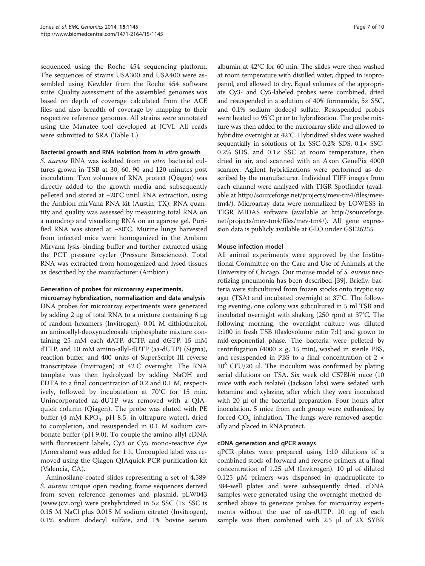sequenced using the Roche 454 sequencing platform. The sequences of strains USA300 and USA400 were assembled using Newbler from the Roche 454 software suite. Quality assessment of the assembled genomes was based on depth of coverage calculated from the ACE files and also breadth of coverage by mapping to their respective reference genomes. All strains were annotated using the Manatee tool developed at JCVI. All reads were submitted to SRA (Table [1.](#page-2-0))

#### Bacterial growth and RNA isolation from in vitro growth

S. aureus RNA was isolated from in vitro bacterial cultures grown in TSB at 30, 60, 90 and 120 minutes post inoculation. Two volumes of RNA protect (Qiagen) was directly added to the growth media and subsequently pelleted and stored at −20°C until RNA extraction, using the Ambion mirVana RNA kit (Austin, TX). RNA quantity and quality was assessed by measuring total RNA on a nanodrop and visualizing RNA on an agarose gel. Purified RNA was stored at −80°C. Murine lungs harvested from infected mice were homogenized in the Ambion Mirvana lysis-binding buffer and further extracted using the PCT pressure cycler (Pressure Biosciences). Total RNA was extracted from homogenized and lysed tissues as described by the manufacturer (Ambion).

## Generation of probes for microarray experiments,

microarray hybridization, normalization and data analysis DNA probes for microarray experiments were generated by adding 2 μg of total RNA to a mixture containing 6 μg of random hexamers (Invitrogen), 0.01 M dithiothreitol, an aminoallyl-deoxynucleoside triphosphate mixture containing 25 mM each dATP, dCTP, and dGTP, 15 mM dTTP, and 10 mM amino-allyl-dUTP (aa-dUTP) (Sigma), reaction buffer, and 400 units of SuperScript III reverse transcriptase (Invitrogen) at 42°C overnight. The RNA template was then hydrolyzed by adding NaOH and EDTA to a final concentration of 0.2 and 0.1 M, respectively, followed by incubatation at 70°C for 15 min. Unincorporated aa-dUTP was removed with a QIAquick column (Qiagen). The probe was eluted with PE buffer (4 mM KPO<sub>4</sub>, pH 8.5, in ultrapure water), dried to completion, and resuspended in 0.1 M sodium carbonate buffer (pH 9.0). To couple the amino-allyl cDNA with fluorescent labels, Cy3 or Cy5 mono-reactive dye (Amersham) was added for 1 h. Uncoupled label was removed using the Qiagen QIAquick PCR purification kit (Valencia, CA).

Aminosilane-coated slides representing a set of 4,589 S. aureus unique open reading frame sequences derived from seven reference genomes and plasmid, pLW043 ([www.jcvi.org](http://www.jcvi.org)) were prehybridized in 5× SSC (1× SSC is 0.15 M NaCl plus 0.015 M sodium citrate) (Invitrogen), 0.1% sodium dodecyl sulfate, and 1% bovine serum

albumin at 42°C for 60 min. The slides were then washed at room temperature with distilled water, dipped in isopropanol, and allowed to dry. Equal volumes of the appropriate Cy3- and Cy5-labeled probes were combined, dried and resuspended in a solution of 40% formamide, 5× SSC, and 0.1% sodium dodecyl sulfate. Resuspended probes were heated to 95°C prior to hybridization. The probe mixture was then added to the microarray slide and allowed to hybridize overnight at 42°C. Hybridized slides were washed sequentially in solutions of 1x SSC-0.2% SDS, 0.1× SSC-0.2% SDS, and  $0.1 \times$  SSC at room temperature, then dried in air, and scanned with an Axon GenePix 4000 scanner. Agilent hybridizations were performed as described by the manufacturer. Individual TIFF images from each channel were analyzed with TIGR Spotfinder (available at [http://sourceforge.net/projects/mev-tm4/files/mev](http://sourceforge.net/projects/mev-tm4/files/mev-tm4/)[tm4/](http://sourceforge.net/projects/mev-tm4/files/mev-tm4/)). Microarray data were normalized by LOWESS in TIGR MIDAS software (available at [http://sourceforge.](http://sourceforge.net/projects/mev-tm4/files/mev-tm4/) [net/projects/mev-tm4/files/mev-tm4/](http://sourceforge.net/projects/mev-tm4/files/mev-tm4/)). All gene expression data is publicly available at GEO under GSE26255.

## Mouse infection model

All animal experiments were approved by the Institutional Committee on the Care and Use of Animals at the University of Chicago. Our mouse model of S. aureus necrotizing pneumonia has been described [[39](#page-8-0)]. Briefly, bacteria were subcultured from frozen stocks onto tryptic soy agar (TSA) and incubated overnight at 37°C. The following evening, one colony was subcultured in 5 ml TSB and incubated overnight with shaking (250 rpm) at 37°C. The following morning, the overnight culture was diluted 1:100 in fresh TSB (flask:volume ratio 7:1) and grown to mid-exponential phase. The bacteria were pelleted by centrifugation (4000  $\times$  g, 15 min), washed in sterile PBS, and resuspended in PBS to a final concentration of 2 ×  $10<sup>8</sup>$  CFU/20 μl. The inoculum was confirmed by plating serial dilutions on TSA. Six week old C57Bl/6 mice (10 mice with each isolate) (Jackson labs) were sedated with ketamine and xylazine, after which they were inoculated with 20 μl of the bacterial preparation. Four hours after inoculation, 5 mice from each group were euthanized by forced  $CO<sub>2</sub>$  inhalation. The lungs were removed aseptically and placed in RNAprotect.

## cDNA generation and qPCR assays

qPCR plates were prepared using 1:10 dilutions of a combined stock of forward and reverse primers at a final concentration of 1.25 μM (Invitrogen). 10 μl of diluted 0.125 μM primers was dispensed in quadruplicate to 384-well plates and were subsequently dried. cDNA samples were generated using the overnight method described above to generate probes for microarray experiments without the use of aa-dUTP. 10 ng of each sample was then combined with 2.5 μl of 2X SYBR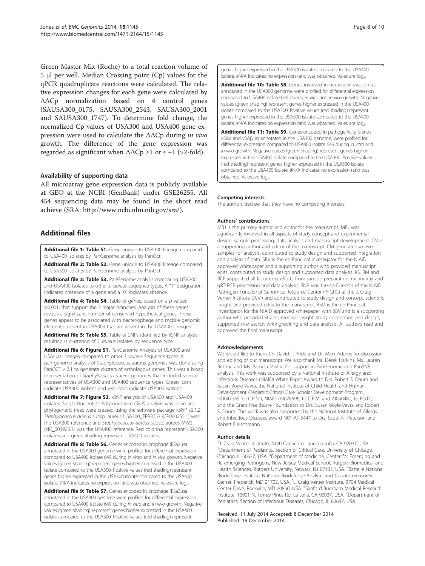<span id="page-7-0"></span>Green Master Mix (Roche) to a total reaction volume of 5 μl per well. Median Crossing point (Cp) values for the qPCR quadruplicate reactions were calculated. The relative expression changes for each gene were calculated by ΔΔCp normalization based on 4 control genes (SAUSA300\_0175, SAUSA300\_2543, SAUSA300\_2001 and SAUSA300\_1747). To determine fold change, the normalized Cp values of USA300 and USA400 gene expression were used to calculate the  $\Delta\Delta$ Cp during in vivo growth. The difference of the gene expression was regarded as significant when  $\Delta \Delta Cp \geq 1$  or  $\leq -1$  (>2-fold).

#### Availability of supporting data

All microarray gene expression data is publicly available at GEO at the NCBI (GenBank) under GSE26255. All 454 sequencing data may be found in the short read achieve (SRA: [http://www.ncbi.nlm.nih.gov/sra/\)](http://www.ncbi.nlm.nih.gov/sra/).

## Additional files

[Additional file 1: Table S1.](http://www.biomedcentral.com/content/supplementary/1471-2164-15-1145-S1.xls) Gene unique to USA300 lineage compared to USA400 isolates by PanGenome analysis by PanOct.

[Additional file 2: Table S2.](http://www.biomedcentral.com/content/supplementary/1471-2164-15-1145-S2.xls) Gene unique to USA400 lineage compared to USA300 isolates by PanGenome analysis by PanOct.

[Additional file 3: Table S3.](http://www.biomedcentral.com/content/supplementary/1471-2164-15-1145-S3.txt) PanGenome analysis comparing USA300 and USA400 isolates to other S. aureus sequence types. A "1" designation indicates presence of a gene and a "0" indicates absence.

[Additional file 4: Table S4.](http://www.biomedcentral.com/content/supplementary/1471-2164-15-1145-S4.txt) Table of genes, based on a p values ≤0.001, that support the 2 major branches. Analysis of these genes reveals a significant number of conserved hypothetical genes. These genes appear to be associated with bacteriophage and mobile genomic elements present in USA300 that are absent in the USA400 lineages.

[Additional file 5: Table S5.](http://www.biomedcentral.com/content/supplementary/1471-2164-15-1145-S5.pdf) Table of SNPs identified by kSNP analysis resulting is clustering of S. aureus isolates by sequence type.

[Additional file 6: Figure S1.](http://www.biomedcentral.com/content/supplementary/1471-2164-15-1145-S6.zip) PanGenome Analysis of USA300 and USA400 lineages compared to other S. aureus Sequence-types. A pan-genome analysis of Staphylococcus aureus genomes was done using PanOCT v 2.1 to generate clusters of orthologous genes. This was a broad representation of Staphylococcus aureus genomes that included several representatives of USA300 and USA400 sequence types. Green icons indicate USA300 isolates and red icons indicate USA400 isolates.

[Additional file 7: Figure S2.](http://www.biomedcentral.com/content/supplementary/1471-2164-15-1145-S7.pdf) kSNP analysis of USA300 and USA400 isolates. Single Nucleotide Polymorphism (SNP) analysis was done and phylogenetic trees were created using the software package kSNP v2.1.2. Staphylococcus aureus subsp. aureus USA300\_FPR3757 (CP000255.1) was the USA300 reference and Staphylococcus aureus subsp. aureus MW2 (NC\_003923.1) was the USA400 reference. Red coloring represent USA300 isolates and green shading represent USA400 isolates.

[Additional file 8: Table S6.](http://www.biomedcentral.com/content/supplementary/1471-2164-15-1145-S8.docx) Genes encoded in prophage ΦSa2usa annotated in the USA300 genome were profiled for differential expression compared to USA400 isolate 649 during in vitro and in vivo growth. Negative values (green shading) represent genes higher expressed in the USA400 isolate compared to the USA300. Positive values (red shading) represent genes higher expressed in the USA300 isolate compared to the USA400 isolate. #N/A indicates no expression ratio was obtained. Vales are log<sub>2</sub>.

[Additional file 9: Table S7.](http://www.biomedcentral.com/content/supplementary/1471-2164-15-1145-S9.doc) Genes encoded in prophage ΦSa3usa annotated in the USA300 genome were profiled for differential expression compared to USA400 isolate 649 during in vitro and in vivo growth. Negative values (green shading) represent genes higher expressed in the USA400 isolate compared to the USA300. Positive values (red shading) represent

genes higher expressed in the USA300 isolate compared to the USA400 isolate. #N/A indicates no expression ratio was obtained. Vales are log<sub>2</sub>.

[Additional file 10: Table S8.](http://www.biomedcentral.com/content/supplementary/1471-2164-15-1145-S10.doc) Genes involved in neutrophil evasion as annotated in the USA300 genome, were profiled for differential expression compared to USA400 isolate 649 during in vitro and in vivo growth. Negative values (green shading) represent genes higher expressed in the USA400 isolate compared to the USA300. Positive values (red shading) represent genes higher expressed in the USA300 isolate compared to the USA400 isolate. #N/A indicates no expression ratio was obtained. Vales are log<sub>2</sub>.

[Additional file 11: Table S9.](http://www.biomedcentral.com/content/supplementary/1471-2164-15-1145-S11.doc) Genes encoded in pathogenicity islands vSAα and vSAβ, as annotated in the USA300 genome, were profiled for differential expression compared to USA400 isolate 649 during in vitro and in vivo growth. Negative values (green shading) represent genes higher expressed in the USA400 isolate compared to the USA300. Positive values (red shading) represent genes higher expressed in the USA300 isolate compared to the USA400 isolate. #N/A indicates no expression ratio was obtained. Vales are log<sub>2</sub>.

#### Competing interests

The authors declare that they have no competing interests.

#### Authors' contributions

MBJ is the primary author and editor for the manuscript. MBJ was significantly involved in all aspects of study concept and experimental design, sample processing, data analysis and manuscript development. CM is a supporting author and editor of the manuscript. CM generated in vivo samples for analysis, contributed to study design and supported integration and analysis of data. SBV is the co-Principal Investigator for the NIAID approved whitepaper and a supporting author who provided manuscript edits, contributed to study design and supported data analysis. KS, RM and BCF supported all laboratory efforts from sample preparation, microarray and qRT-PCR processing and data analysis. SNP was the co-Director of the NIAID Pathogen Functional Genomics Resource Center (PFGRC) at the J. Craig Venter Institute (JCVI) and contributed to study design and concept, scientific insight and provided edits to the manuscript. RSD is the co-Principal Investigator for the NIAID approved whitepaper with SBV and is a supporting author who provided strains, medical insight, study conception and design, supported manuscript writing/editing and data analysis. All authors read and approved the final manuscript.

#### Acknowledgements

We would like to thank Dr. David T. Pride and Dr. Mark Adams for discussion and editing of our manuscript. We also thank Mr. Derek Harkins, Ms. Lauren Brinkac and Ms. Pamela Mishra for support in PanGenome and PanSNP analysis. This work was supported by a National Institute of Allergy and Infectious Diseases (NIAID) White Paper Award to Drs. Robert S. Daum and Susan Boyle-Vavra, the National Institute of Child Health and Human Development (Pediatric Critical Care Scholar Development Program, HD047349, to C.P.M.), NIAID (AI076596, to C.P.M. and AI040481, to R.S.D.) and the Grant Healthcare Foundation to Drs. Susan Boyle-Vavra and Robert S. Daum. This work was also supported by the National Institute of Allergy and Infectious Diseases award N01-AI15447 to Drs. Scott. N. Peterson and Robert Fleischmann.

#### Author details

<sup>1</sup>J. Craig Venter Institute, 4120 Capricorn Lane, La Jolla, CA 92037, USA. <sup>2</sup> Department of Pediatrics, Section of Critical Care, University of Chicago Chicago, IL 60637, USA. <sup>3</sup>Department of Medicine, Center for Emerging and Re-emerging Pathogens, New Jersey Medical School, Rutgers Biomedical and Health Sciences, Rutgers University, Newark, NJ 07103, USA. <sup>4</sup>Battelle National Biodefense Institute, National Biodefense Analysis and Countermeasures Center, Frederick, MD 21702, USA. <sup>5</sup>J. Craig Venter Institute, 9704 Medical Center Drive, Rockville, MD 20850, USA. <sup>6</sup>Sanford Burnham Medical Research Institute, 10901 N. Torrey Pines Rd, La Jolla, CA 92037, USA. <sup>7</sup>Department of Pediatrics, Section of Infectious Diseases, Chicago, IL 60637, USA.

#### Received: 11 July 2014 Accepted: 8 December 2014 Published: 19 December 2014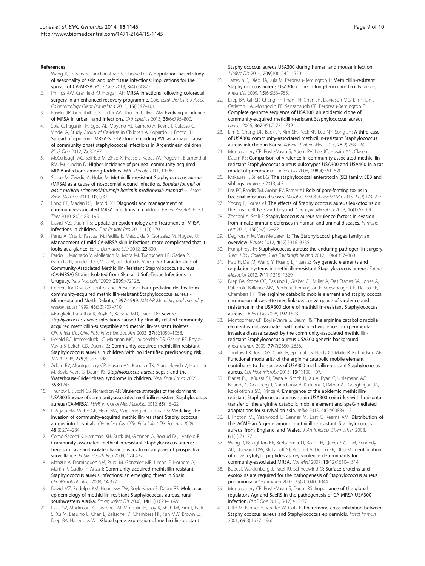#### <span id="page-8-0"></span>References

- Wang X, Towers S, Panchanathan S, Chowell G: A population based study of seasonality of skin and soft tissue infections: implications for the spread of CA-MRSA. PLoS One 2013, 8(4):e60872.
- 2. Phillips AW, Cranfield KJ, Horgan AF: MRSA infections following colorectal surgery in an enhanced recovery programme. Colorectal Dis: Offic J Assoc Coloproctology Great Brit Ireland 2013, 15(1):97–101.
- 3. Fowler JR, Greenhill D, Schaffer AA, Thoder JJ, Ilyas AM: Evolving incidence of MRSA in urban hand infections. Orthopedics 2013, 36(6):796–800.
- Sola C, Paganini H, Egea AL, Moyano AJ, Garnero A, Kevric I, Culasso C, Vindel A, Study Group of Ca-Mrsa in Children A, Lopardo H, Bocco JL: Spread of epidemic MRSA-ST5-IV clone encoding PVL as a major cause of community onset staphylococcal infections in Argentinean children. PLoS One 2012, 7:e30487.
- 5. McCullough AC, Seifried M, Zhao X, Haase J, Kabat WJ, Yogev R, Blumenthal RM, Mukundan D: Higher incidence of perineal community acquired MRSA infections among toddlers. BMC Pediatr 2011, 11:96.
- 6. Sisirak M, Zvizdic A, Hukic M: Methicillin-resistant Staphylococcus aureus (MRSA) as a cause of nosocomial wound infections. Bosnian journal of basic medical sciences/Udruzenje basicnih mediciniskih znanosti =. Assoc Basic Med Sci 2010, 10(1):32.
- 7. Long CB, Madan RP, Herold BC: Diagnosis and management of community-associated MRSA infections in children. Expert Rev Anti Infect Ther 2010, 8(2):183–195.
- David MZ, Daum RS: Update on epidemiology and treatment of MRSA infections in children. Curr Pediatr Rep 2013, 1(3):170.
- 9. Perez A, Orta L, Pascual M, Padilla E, Mesquida X, Gonzalez M, Huguet O: Management of mild CA-MRSA skin infections: more complicated that it looks at a glance. Eur J Dermatol: EJD 2012, 22:800.
- 10. Pardo L, Machado V, Mollerach M, Mota MI, Tuchscherr LP, Gadea P, Gardella N, Sordelli DO, Vola M, Schelotto F, Varela G: Characteristics of Community-Associated Methicillin-Resistant Staphylococcus aureus (CA-MRSA) Strains Isolated from Skin and Soft-Tissue Infections in Uruguay. Int J Microbiol 2009, 2009:472126.
- 11. Centers for Disease Control and Prevention: Four pediatric deaths from community-acquired methicillin-resistant Staphylococcus aureus - Minnesota and North Dakota, 1997-1999. MMWR Morbidity and mortality weekly report 1999, 48(32):707–710.
- 12. Mongkolrattanothai K, Boyle S, Kahana MD, Daum RS: Severe Staphylococcus aureus infections caused by clonally related communityacquired methicillin-susceptible and methicillin-resistant isolates. Clin Infect Dis: Offic Publ Infect Dis Soc Am 2003, 37(8):1050–1058.
- 13. Herold BC, Immergluck LC, Maranan MC, Lauderdale DS, Gaskin RE, Boyle-Vavra S, Leitch CD, Daum RS: Community-acquired methicillin-resistant Staphylococcus aureus in children with no identified predisposing risk. JAMA 1998, 279(8):593–598.
- 14. Adem PV, Montgomery CP, Husain AN, Koogler TK, Arangelovich V, Humilier M, Boyle-Vavra S, Daum RS: Staphylococcus aureus sepsis and the Waterhouse-Friderichsen syndrome in children. New Engl J Med 2005, 353:1245.
- 15. Thurlow LR, Joshi GS, Richardson AR: Virulence strategies of the dominant USA300 lineage of community-associated methicillin-resistant Staphylococcus aureus (CA-MRSA). FEMS Immunol Med Microbiol 2012, 65(1):5–22.
- 16. D'Agata EM, Webb GF, Horn MA, Moellering RC Jr, Ruan S: Modeling the invasion of community-acquired methicillin-resistant Staphylococcus aureus into hospitals. Clin Infect Dis: Offic Publ Infect Dis Soc Am 2009, 48(3):274–284.
- 17. Como-Sabetti K, Harriman KH, Buck JM, Glennen A, Boxrud DJ, Lynfield R: Community-associated methicillin-resistant Staphylococcus aureus: trends in case and isolate characteristics from six years of prospective surveillance. Public Health Rep 2009, 124:427.
- 18. Manzur A, Dominguez AM, Pujol M, Gonzalez MP, Limon E, Hornero A, Martin R, Gudiol F, Ariza J: Community-acquired methicillin-resistant Staphylococcus aureus infections: an emerging threat in Spain. Clin Microbiol Infect 2008, 14:377.
- 19. David MZ, Rudolph KM, Hennessy TW, Boyle-Vavra S, Daum RS: Molecular epidemiology of methicillin-resistant Staphylococcus aureus, rural southwestern Alaska. Emerg Infect Dis 2008, 14(11):1693-1699.
- 20. Date SV, Modrusan Z, Lawrence M, Morisaki JH, Toy K, Shah IM, Kim J, Park S, Xu M, Basuino L, Chan L, Zeitschel D, Chambers HF, Tan MW, Brown EJ, Diep BA, Hazenbos WL: Global gene expression of methicillin-resistant

Staphylococcus aureus USA300 during human and mouse infection. J Infect Dis 2014, 209(10):1542–1550.

- 21. Tattevin P, Diep BA, Jula M, Perdreau-Remington F: Methicillin-resistant Staphylococcus aureus USA300 clone in long-term care facility. Emerg Infect Dis 2009, 15(6):953–955.
- 22. Diep BA, Gill SR, Chang RF, Phan TH, Chen JH, Davidson MG, Lin F, Lin J, Carleton HA, Mongodin EF, Sensabaugh GF, Perdreau-Remington F: Complete genome sequence of USA300, an epidemic clone of community-acquired meticillin-resistant Staphylococcus aureus. Lancet 2006, 367(9512):731–739.
- 23. Lim S, Chung DR, Baek JY, Kim SH, Peck KR, Lee NY, Song JH: A third case of USA300 community-associated methicillin-resistant Staphylococcus aureus infection in Korea. Korean J Intern Med 2013, 28(2):258–260.
- 24. Montgomery CP, Boyle-Vavra S, Adem PV, Lee JC, Husain AN, Clasen J, Daum RS: Comparison of virulence in community-associated methicillinresistant Staphylococcus aureus pulsotypes USA300 and USA400 in a rat model of pneumonia. J Infect Dis 2008, 198(4):561–570.
- Krakauer T, Stiles BG: The staphylococcal enterotoxin (SE) family: SEB and siblings. Virulence 2013, 4:7.
- 26. Los FC, Randis TM, Aroian RV, Ratner AJ: Role of pore-forming toxins in bacterial infectious diseases. Microbiol Mol Biol Rev: MMBR 2013, 77(2):173–207.
- 27. Yoong P, Torres VJ: The effects of Staphylococcus aureus leukotoxins on the host: cell lysis and beyond. Curr Opin Microbiol 2013, 16(1):63-69.
- 28. Zecconi A, Scali F: Staphylococcus aureus virulence factors in evasion from innate immune defenses in human and animal diseases. Immunol Lett 2013, 150(1-2):12–22.
- 29. Deghorain M, Van Melderen L: The Staphylococci phages family: an overview. Viruses 2012, 4(12):3316–3335.
- 30. Humphreys H: Staphylococcus aureus: the enduring pathogen in surgery. Surg: J Roy Colleges Surg Edinburgh Ireland 2012, 10(6):357–360.
- 31. Hao H, Dai M, Wang Y, Huang L, Yuan Z: Key genetic elements and regulation systems in methicillin-resistant Staphylococcus aureus. Future Microbiol 2012, 7(11):1315–1329.
- 32. Diep BA, Stone GG, Basuino L, Graber CJ, Miller A, Des Etages SA, Jones A, Palazzolo-Ballance AM, Perdreau-Remington F, Sensabaugh GF, DeLeo FR, Chambers HF: The arginine catabolic mobile element and staphylococcal chromosomal cassette mec linkage: convergence of virulence and resistance in the USA300 clone of methicillin-resistant Staphylococcus aureus. J Infect Dis 2008, 197:1523.
- 33. Montgomery CP, Boyle-Vavra S, Daum RS: The arginine catabolic mobile element is not associated with enhanced virulence in experimental invasive disease caused by the community-associated methicillinresistant Staphylococcus aureus USA300 genetic background. Infect Immun 2009, 77(7):2650–2656.
- 34. Thurlow LR, Joshi GS, Clark JR, Spontak JS, Neely CJ, Maile R, Richardson AR: Functional modularity of the arginine catabolic mobile element contributes to the success of USA300 methicillin-resistant Staphylococcus aureus. Cell Host Microbe 2013, 13(1):100–107.
- 35. Planet PJ, LaRussa SJ, Dana A, Smith H, Xu A, Ryan C, Uhlemann AC, Boundy S, Goldberg J, Narechania A, Kulkarni R, Ratner AJ, Geoghegan JA, Kolokotronis SO, Prince A: Emergence of the epidemic methicillinresistant Staphylococcus aureus strain USA300 coincides with horizontal transfer of the arginine catabolic mobile element and speG-mediated adaptations for survival on skin. mBio 2013, 4(6):e00889–13.
- 36. Ellington MJ, Yearwood L, Ganner M, East C, Kearns AM: Distribution of the ACME-arcA gene among methicillin-resistant Staphylococcus aureus from England and Wales. J Antimicrob Chemother 2008, 61(1):73–77.
- 37. Wang R, Braughton KR, Kretschmer D, Bach TH, Queck SY, Li M, Kennedy AD, Dorward DW, Klebanoff SJ, Peschel A, DeLeo FR, Otto M: Identification of novel cytolytic peptides as key virulence determinants for community-associated MRSA. Nat Med 2007, 13(12):1510–1514.
- 38. Bubeck Wardenburg J, Patel RJ, Schneewind O: Surface proteins and exotoxins are required for the pathogenesis of Staphylococcus aureus pneumonia. Infect Immun 2007, 75(2):1040–1044.
- 39. Montgomery CP, Boyle-Vavra S, Daum RS: Importance of the global regulators Agr and SaeRS in the pathogenesis of CA-MRSA USA300 infection. PLoS One 2010, 5(12):e15177.
- 40. Otto M, Echner H, Voelter W, Gotz F: Pheromone cross-inhibition between Staphylococcus aureus and Staphylococcus epidermidis. Infect Immun 2001, 69(3):1957–1960.